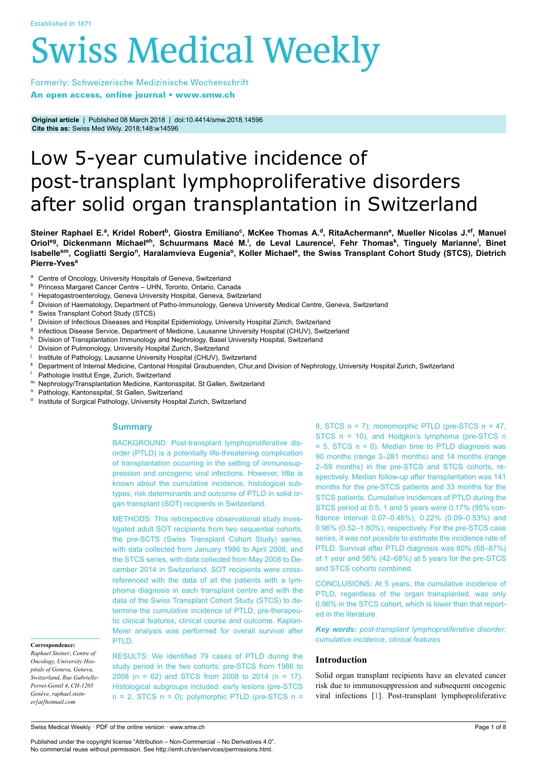# **Swiss Medical Weekly**

Formerly: Schweizerische Medizinische Wochenschrift An open access, online journal • www.smw.ch

**Original article** | Published 08 March 2018 | doi:10.4414/smw.2018.14596 **Cite this as:** Swiss Med Wkly. 2018;148:w14596

# Low 5-year cumulative incidence of post-transplant lymphoproliferative disorders after solid organ transplantation in Switzerland

Steiner Raphael E.ª, Kridel Robert<sup>b</sup>, Giostra Emiliano<sup>c</sup>, McKee Thomas A.<sup>d</sup>, RitaAchermann<sup>e</sup>, Mueller Nicolas J.<sup>ef</sup>, Manuel Oriol<sup>eg</sup>, Dickenmann Michael<sup>eh</sup>, Schuurmans Macé M.<sup>i</sup>, de Leval Laurence<sup>j</sup>, Fehr Thomas<sup>k</sup>, Tinguely Marianne<sup>l</sup>, Binet Isabelle<sup>em</sup>, Cogliatti Sergio<sup>n</sup>, Haralamvieva Eugenia<sup>o</sup>, Koller Michael<sup>e</sup>, the Swiss Transplant Cohort Study (STCS), Dietrich **Pierre-Yves<sup>a</sup>**

- <sup>a</sup> Centre of Oncology, University Hospitals of Geneva, Switzerland
- **b** Princess Margaret Cancer Centre UHN, Toronto, Ontario, Canada
- Hepatogastroenterology, Geneva University Hospital, Geneva, Switzerland
- <sup>d</sup> Division of Haematology, Department of Patho-Immunology, Geneva University Medical Centre, Geneva, Switzerland
- <sup>e</sup> Swiss Transplant Cohort Study (STCS)<sup>f</sup> Division of Infectious Diseases and Hos
- Division of Infectious Diseases and Hospital Epidemiology, University Hospital Zürich, Switzerland
- g Infectious Disease Service, Department of Medicine, Lausanne University Hospital (CHUV), Switzerland
- h Division of Transplantation Immunology and Nephrology, Basel University Hospital, Switzerland
- Division of Pulmonology, University Hospital Zurich, Switzerland
- j Institute of Pathology, Lausanne University Hospital (CHUV), Switzerland
- <sup>k</sup> Department of Internal Medicine, Cantonal Hospital Graubuenden, Chur,and Division of Nephrology, University Hospital Zurich, Switzerland
- Pathologie Institut Enge, Zurich, Switzerland
- m Nephrology/Transplantation Medicine, Kantonsspital, St Gallen, Switzerland
- <sup>n</sup> Pathology, Kantonsspital, St Gallen, Switzerland
- <sup>o</sup> Institute of Surgical Pathology, University Hospital Zurich, Switzerland

# **Summary**

BACKGROUND: Post-transplant lymphoproliferative disorder (PTLD) is a potentially life-threatening complication of transplantation occurring in the setting of immunosuppression and oncogenic viral infections. However, little is known about the cumulative incidence, histological subtypes, risk determinants and outcome of PTLD in solid organ transplant (SOT) recipients in Switzerland.

METHODS: This retrospective observational study investigated adult SOT recipients from two sequential cohorts, the pre-SCTS (Swiss Transplant Cohort Study) series, with data collected from January 1986 to April 2008, and the STCS series, with data collected from May 2008 to December 2014 in Switzerland. SOT recipients were crossreferenced with the data of all the patients with a lymphoma diagnosis in each transplant centre and with the data of the Swiss Transplant Cohort Study (STCS) to determine the cumulative incidence of PTLD, pre-therapeutic clinical features, clinical course and outcome. Kaplan-Meier analysis was performed for overall survival after PTLD.

**Correspondence:**

*Raphael Steiner*, *Centre of Oncology, University Hospitals of Geneva, Geneva, Switzerland*, *Rue Gabrielle-Perret-Gentil 4*, *CH-1205 Genève*, *raphael.steiner[at]hotmail.com*

RESULTS: We identified 79 cases of PTLD during the study period in the two cohorts: pre-STCS from 1986 to 2008 (n = 62) and STCS from 2008 to 2014 (n = 17). Histological subgroups included: early lesions (pre-STCS  $n = 2$ , STCS  $n = 0$ ); polymorphic PTLD (pre-STCS  $n =$  8, STCS  $n = 7$ ); monomorphic PTLD (pre-STCS  $n = 47$ , STCS n = 10), and Hodgkin's lymphoma (pre-STCS n  $= 5$ , STCS  $n = 0$ ). Median time to PTLD diagnosis was 90 months (range 3–281 months) and 14 months (range 2–59 months) in the pre-STCS and STCS cohorts, respectively. Median follow-up after transplantation was 141 months for the pre-STCS patients and 33 months for the STCS patients. Cumulative incidences of PTLD during the STCS period at 0.5, 1 and 5 years were 0.17% (95% confidence interval 0.07–0.46%), 0.22% (0.09–0.53%) and 0.96% (0.52–1.80%), respectively. For the pre-STCS case series, it was not possible to estimate the incidence rate of PTLD. Survival after PTLD diagnosis was 80% (68–87%) at 1 year and 56% (42–68%) at 5 years for the pre-STCS and STCS cohorts combined.

CONCLUSIONS: At 5 years, the cumulative incidence of PTLD, regardless of the organ transplanted, was only 0.96% in the STCS cohort, which is lower than that reported in the literature.

*Key words: post-transplant lymphoproliferative disorder*, *cumulative incidence*, *clinical features*

# **Introduction**

Solid organ transplant recipients have an elevated cancer risk due to immunosuppression and subsequent oncogenic viral infections [\[1\]](#page-6-0). Post-transplant lymphoproliferative

Swiss Medical Weekly · PDF of the online version · www.smw.ch

Published under the copyright license "Attribution – Non-Commercial – No Derivatives 4.0". No commercial reuse without permission. See http://emh.ch/en/services/permissions.html.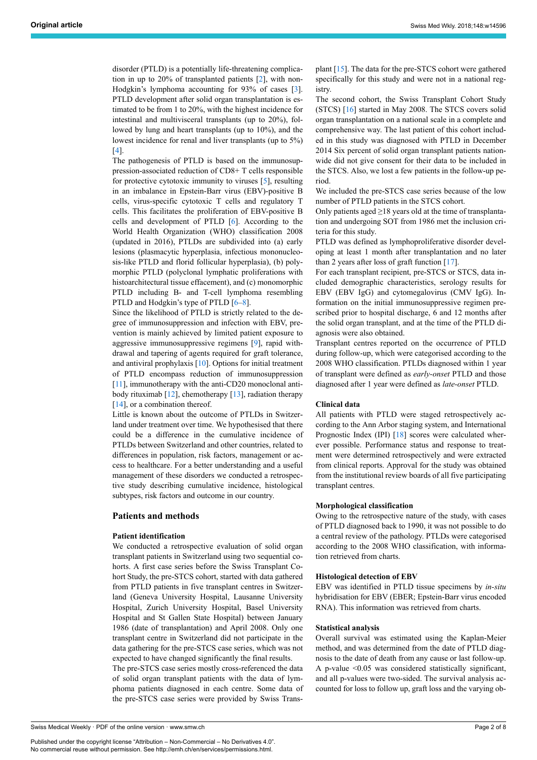disorder (PTLD) is a potentially life-threatening complication in up to 20% of transplanted patients [\[2\]](#page-6-1), with non-Hodgkin's lymphoma accounting for 93% of cases [\[3\]](#page-6-2). PTLD development after solid organ transplantation is estimated to be from 1 to 20%, with the highest incidence for intestinal and multivisceral transplants (up to 20%), followed by lung and heart transplants (up to 10%), and the lowest incidence for renal and liver transplants (up to 5%) [[4](#page-6-3)].

The pathogenesis of PTLD is based on the immunosuppression-associated reduction of CD8+ T cells responsible for protective cytotoxic immunity to viruses [[5](#page-6-4)], resulting in an imbalance in Epstein-Barr virus (EBV)-positive B cells, virus-specific cytotoxic T cells and regulatory T cells. This facilitates the proliferation of EBV-positive B cells and development of PTLD [\[6\]](#page-6-5). According to the World Health Organization (WHO) classification 2008 (updated in 2016), PTLDs are subdivided into (a) early lesions (plasmacytic hyperplasia, infectious mononucleosis-like PTLD and florid follicular hyperplasia), (b) polymorphic PTLD (polyclonal lymphatic proliferations with histoarchitectural tissue effacement), and (c) monomorphic PTLD including B- and T-cell lymphoma resembling PTLD and Hodgkin's type of PTLD [[6](#page-6-5)–[8](#page-6-6)].

Since the likelihood of PTLD is strictly related to the degree of immunosuppression and infection with EBV, prevention is mainly achieved by limited patient exposure to aggressive immunosuppressive regimens [\[9\]](#page-6-7), rapid withdrawal and tapering of agents required for graft tolerance, and antiviral prophylaxis  $[10]$  $[10]$ . Options for initial treatment of PTLD encompass reduction of immunosuppression [[11](#page-6-9)], immunotherapy with the anti-CD20 monoclonal antibody rituximab  $[12]$  $[12]$ , chemotherapy  $[13]$  $[13]$ , radiation therapy [[14\]](#page-6-12), or a combination thereof.

Little is known about the outcome of PTLDs in Switzerland under treatment over time. We hypothesised that there could be a difference in the cumulative incidence of PTLDs between Switzerland and other countries, related to differences in population, risk factors, management or access to healthcare. For a better understanding and a useful management of these disorders we conducted a retrospective study describing cumulative incidence, histological subtypes, risk factors and outcome in our country.

#### **Patients and methods**

#### **Patient identification**

We conducted a retrospective evaluation of solid organ transplant patients in Switzerland using two sequential cohorts. A first case series before the Swiss Transplant Cohort Study, the pre-STCS cohort, started with data gathered from PTLD patients in five transplant centres in Switzerland (Geneva University Hospital, Lausanne University Hospital, Zurich University Hospital, Basel University Hospital and St Gallen State Hospital) between January 1986 (date of transplantation) and April 2008. Only one transplant centre in Switzerland did not participate in the data gathering for the pre-STCS case series, which was not expected to have changed significantly the final results.

The pre-STCS case series mostly cross-referenced the data of solid organ transplant patients with the data of lymphoma patients diagnosed in each centre. Some data of the pre-STCS case series were provided by Swiss Transplant [\[15](#page-6-13)]. The data for the pre-STCS cohort were gathered specifically for this study and were not in a national registry.

The second cohort, the Swiss Transplant Cohort Study (STCS) [\[16](#page-6-14)] started in May 2008. The STCS covers solid organ transplantation on a national scale in a complete and comprehensive way. The last patient of this cohort included in this study was diagnosed with PTLD in December 2014 Six percent of solid organ transplant patients nationwide did not give consent for their data to be included in the STCS. Also, we lost a few patients in the follow-up period.

We included the pre-STCS case series because of the low number of PTLD patients in the STCS cohort.

Only patients aged ≥18 years old at the time of transplantation and undergoing SOT from 1986 met the inclusion criteria for this study.

PTLD was defined as lymphoproliferative disorder developing at least 1 month after transplantation and no later than 2 years after loss of graft function [[17](#page-6-15)].

For each transplant recipient, pre-STCS or STCS, data included demographic characteristics, serology results for EBV (EBV IgG) and cytomegalovirus (CMV IgG). Information on the initial immunosuppressive regimen prescribed prior to hospital discharge, 6 and 12 months after the solid organ transplant, and at the time of the PTLD diagnosis were also obtained.

Transplant centres reported on the occurrence of PTLD during follow-up, which were categorised according to the 2008 WHO classification. PTLDs diagnosed within 1 year of transplant were defined as *early-onset* PTLD and those diagnosed after 1 year were defined as *late-onset* PTLD.

#### **Clinical data**

All patients with PTLD were staged retrospectively according to the Ann Arbor staging system, and International Prognostic Index (IPI) [[18\]](#page-6-16) scores were calculated wherever possible. Performance status and response to treatment were determined retrospectively and were extracted from clinical reports. Approval for the study was obtained from the institutional review boards of all five participating transplant centres.

#### **Morphological classification**

Owing to the retrospective nature of the study, with cases of PTLD diagnosed back to 1990, it was not possible to do a central review of the pathology. PTLDs were categorised according to the 2008 WHO classification, with information retrieved from charts.

#### **Histological detection of EBV**

EBV was identified in PTLD tissue specimens by *in-situ* hybridisation for EBV (EBER; Epstein-Barr virus encoded RNA). This information was retrieved from charts.

#### **Statistical analysis**

Overall survival was estimated using the Kaplan-Meier method, and was determined from the date of PTLD diagnosis to the date of death from any cause or last follow-up. A p-value <0.05 was considered statistically significant, and all p-values were two-sided. The survival analysis accounted for loss to follow up, graft loss and the varying ob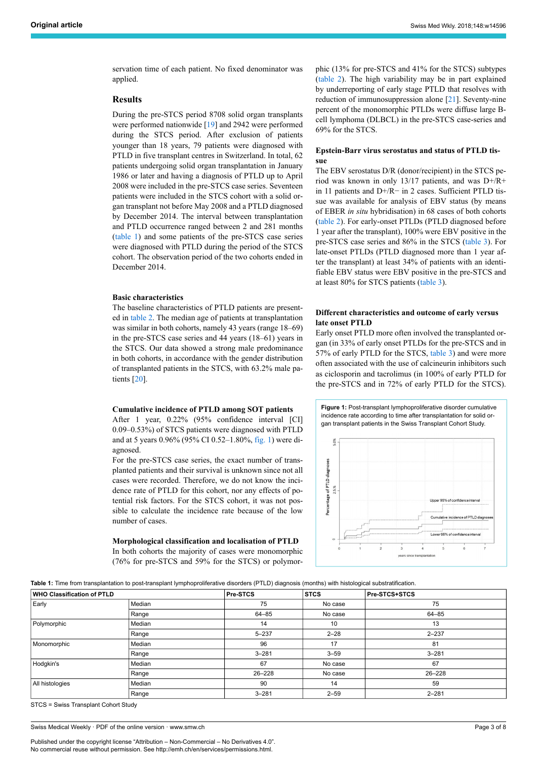servation time of each patient. No fixed denominator was applied.

# **Results**

During the pre-STCS period 8708 solid organ transplants were performed nationwide [\[19](#page-6-17)] and 2942 were performed during the STCS period. After exclusion of patients younger than 18 years, 79 patients were diagnosed with PTLD in five transplant centres in Switzerland. In total, 62 patients undergoing solid organ transplantation in January 1986 or later and having a diagnosis of PTLD up to April 2008 were included in the pre-STCS case series. Seventeen patients were included in the STCS cohort with a solid organ transplant not before May 2008 and a PTLD diagnosed by December 2014. The interval between transplantation and PTLD occurrence ranged between 2 and 281 months ([table](#page-2-0) 1) and some patients of the pre-STCS case series were diagnosed with PTLD during the period of the STCS cohort. The observation period of the two cohorts ended in December 2014.

#### **Basic characteristics**

The baseline characteristics of PTLD patients are presented in [table](#page-3-0) 2. The median age of patients at transplantation was similar in both cohorts, namely 43 years (range 18–69) in the pre-STCS case series and 44 years (18–61) years in the STCS. Our data showed a strong male predominance in both cohorts, in accordance with the gender distribution of transplanted patients in the STCS, with 63.2% male patients [\[20](#page-6-18)].

#### <span id="page-2-1"></span>**Cumulative incidence of PTLD among SOT patients**

After 1 year, 0.22% (95% confidence interval [CI] 0.09–0.53%) of STCS patients were diagnosed with PTLD and at 5 years 0.96% (95% CI 0.52–1.80%, [fig.](#page-2-1) 1) were diagnosed.

For the pre-STCS case series, the exact number of transplanted patients and their survival is unknown since not all cases were recorded. Therefore, we do not know the incidence rate of PTLD for this cohort, nor any effects of potential risk factors. For the STCS cohort, it was not possible to calculate the incidence rate because of the low number of cases.

**Morphological classification and localisation of PTLD** In both cohorts the majority of cases were monomorphic (76% for pre-STCS and 59% for the STCS) or polymorphic (13% for pre-STCS and 41% for the STCS) subtypes [\(table](#page-3-0) 2). The high variability may be in part explained by underreporting of early stage PTLD that resolves with reduction of immunosuppression alone [[21\]](#page-6-19). Seventy-nine percent of the monomorphic PTLDs were diffuse large Bcell lymphoma (DLBCL) in the pre-STCS case-series and 69% for the STCS.

# **Epstein-Barr virus serostatus and status of PTLD tissue**

The EBV serostatus D/R (donor/recipient) in the STCS period was known in only 13/17 patients, and was D+/R+ in 11 patients and D+/R− in 2 cases. Sufficient PTLD tissue was available for analysis of EBV status (by means of EBER *in situ* hybridisation) in 68 cases of both cohorts [\(table](#page-3-0) 2). For early-onset PTLDs (PTLD diagnosed before 1 year after the transplant), 100% were EBV positive in the pre-STCS case series and 86% in the STCS [\(table](#page-4-0) 3). For late-onset PTLDs (PTLD diagnosed more than 1 year after the transplant) at least 34% of patients with an identifiable EBV status were EBV positive in the pre-STCS and at least 80% for STCS patients ([table 3](#page-4-0)).

# **Different characteristics and outcome of early versus late onset PTLD**

Early onset PTLD more often involved the transplanted organ (in 33% of early onset PTLDs for the pre-STCS and in 57% of early PTLD for the STCS, [table](#page-4-0) 3) and were more often associated with the use of calcineurin inhibitors such as ciclosporin and tacrolimus (in 100% of early PTLD for the pre-STCS and in 72% of early PTLD for the STCS).

**Figure 1:** Post-transplant lymphoproliferative disorder cumulative incidence rate according to time after transplantation for solid organ transplant patients in the Swiss Transplant Cohort Study.



<span id="page-2-0"></span>**Table 1:** Time from transplantation to post-transplant lymphoproliferative disorders (PTLD) diagnosis (months) with histological substratification.

| <b>WHO Classification of PTLD</b> |        | Pre-STCS   | <b>STCS</b> | <b>Pre-STCS+STCS</b> |  |  |
|-----------------------------------|--------|------------|-------------|----------------------|--|--|
| Early                             | Median | 75         | No case     | 75                   |  |  |
|                                   | Range  | $64 - 85$  | No case     | $64 - 85$            |  |  |
| Polymorphic                       | Median | 14         | 10          | 13                   |  |  |
|                                   | Range  | $5 - 237$  | $2 - 28$    | $2 - 237$            |  |  |
| Monomorphic                       | Median | 96         | 17          | 81                   |  |  |
|                                   | Range  | $3 - 281$  | $3 - 59$    | $3 - 281$            |  |  |
| Hodgkin's                         | Median | 67         | No case     | 67                   |  |  |
|                                   | Range  | $26 - 228$ | No case     | $26 - 228$           |  |  |
| All histologies                   | Median | 90         | 14          | 59                   |  |  |
|                                   | Range  | $3 - 281$  | $2 - 59$    | $2 - 281$            |  |  |

STCS = Swiss Transplant Cohort Study

Swiss Medical Weekly · PDF of the online version · www.smw.ch

Published under the copyright license "Attribution – Non-Commercial – No Derivatives 4.0". No commercial reuse without permission. See http://emh.ch/en/services/permissions.html.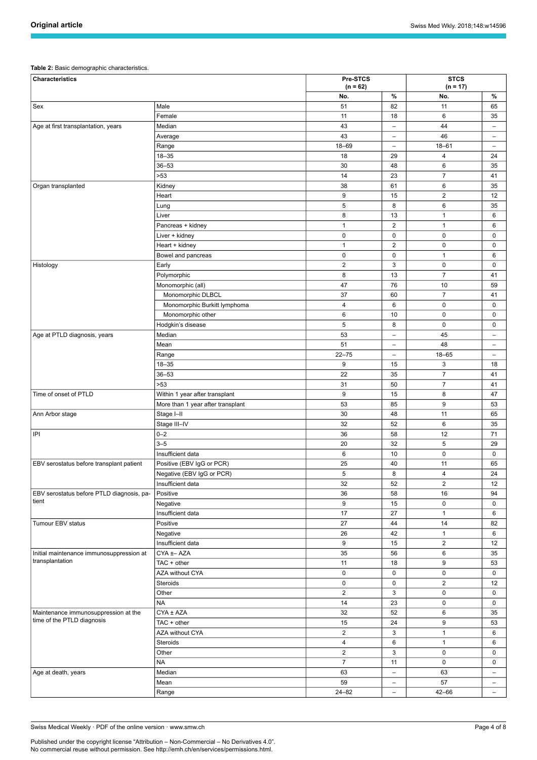### <span id="page-3-0"></span>**Table 2:** Basic demographic characteristics.

| Characteristics                                                    | Pre-STCS<br>$(n = 62)$            |                | <b>STCS</b><br>$(n = 17)$ |                |                          |
|--------------------------------------------------------------------|-----------------------------------|----------------|---------------------------|----------------|--------------------------|
|                                                                    |                                   | No.            | %                         | No.            | %                        |
| Sex                                                                | Male                              | 51             | 82                        | 11             | 65                       |
|                                                                    | Female                            | 11             | 18                        | 6              | 35                       |
| Age at first transplantation, years                                | Median                            | 43             | $\overline{\phantom{0}}$  | 44             | $\overline{\phantom{m}}$ |
|                                                                    | Average                           | 43             | -                         | 46             | -                        |
|                                                                    | Range                             | $18 - 69$      | $\qquad \qquad -$         | $18 - 61$      | $\overline{\phantom{0}}$ |
|                                                                    | $18 - 35$                         | 18             | 29                        | $\overline{4}$ | 24                       |
|                                                                    | $36 - 53$                         | 30             | 48                        | 6              | 35                       |
|                                                                    | >53                               | 14             | 23                        | $\overline{7}$ | 41                       |
| Organ transplanted                                                 | Kidney                            | 38             | 61                        | 6              | 35                       |
|                                                                    | Heart                             | 9              | 15                        | $\overline{2}$ | 12                       |
|                                                                    | Lung                              | 5              | 8                         | 6              | 35                       |
|                                                                    | Liver                             | 8              | 13                        | $\mathbf{1}$   | 6                        |
|                                                                    | Pancreas + kidney                 | $\mathbf{1}$   | $\overline{2}$            | $\mathbf{1}$   | 6                        |
|                                                                    | Liver + kidney                    | $\pmb{0}$      | 0                         | 0              | 0                        |
|                                                                    | Heart + kidney                    | $\mathbf{1}$   | $\overline{2}$            | 0              | 0                        |
|                                                                    | Bowel and pancreas                | $\mathbf 0$    | 0                         | $\mathbf{1}$   | 6                        |
| Histology                                                          | Early                             | $\overline{2}$ | 3                         | 0              | $\mathbf 0$              |
|                                                                    | Polymorphic                       | 8              | 13                        | $\overline{7}$ | 41                       |
|                                                                    | Monomorphic (all)                 | 47             | 76                        | 10             | 59                       |
|                                                                    | Monomorphic DLBCL                 | 37             | 60                        | $\overline{7}$ | 41                       |
|                                                                    | Monomorphic Burkitt lymphoma      | $\overline{4}$ | 6                         | 0              | $\mathbf 0$              |
|                                                                    | Monomorphic other                 | 6              | 10                        | 0              | 0                        |
|                                                                    | Hodgkin's disease                 | 5              | 8                         | 0              | $\mathbf 0$              |
| Age at PTLD diagnosis, years                                       | Median                            | 53             | -                         | 45             | $\overline{\phantom{m}}$ |
|                                                                    | Mean                              | 51             | -                         | 48             | $\qquad \qquad$          |
|                                                                    | Range                             | $22 - 75$      | $\overline{\phantom{0}}$  | $18 - 65$      | $\overline{\phantom{0}}$ |
|                                                                    | $18 - 35$                         | 9              | 15                        | 3              | 18                       |
|                                                                    | $36 - 53$                         | 22             | 35                        | $\overline{7}$ | 41                       |
|                                                                    | >53                               | 31             | 50                        | $\overline{7}$ | 41                       |
| Time of onset of PTLD                                              | Within 1 year after transplant    | 9              | 15                        | 8              | 47                       |
|                                                                    |                                   | 53             | 85                        | 9              | 53                       |
|                                                                    | More than 1 year after transplant |                |                           |                |                          |
| Ann Arbor stage                                                    | Stage I-II                        | 30<br>32       | 48                        | 11<br>6        | 65                       |
|                                                                    | Stage III-IV                      |                | 52                        |                | 35                       |
| IPI                                                                | $0 - 2$<br>$3 - 5$                | 36             | 58                        | 12             | 71                       |
|                                                                    |                                   | 20             | 32                        | 5              | 29                       |
|                                                                    | Insufficient data                 | 6              | 10                        | 0              | 0                        |
| EBV serostatus before transplant patient                           | Positive (EBV IgG or PCR)         | 25             | 40                        | 11             | 65                       |
|                                                                    | Negative (EBV IgG or PCR)         | 5              | 8                         | $\overline{4}$ | 24                       |
|                                                                    | Insufficient data                 | 32             | 52                        | $\overline{2}$ | 12                       |
| EBV serostatus before PTLD diagnosis, pa-<br>tient                 | Positive                          | 36             | 58                        | 16             | 94                       |
|                                                                    | Negative                          | 9              | 15                        | 0              | $\mathbf 0$              |
|                                                                    | Insufficient data                 | 17             | 27                        | $\mathbf{1}$   | 6                        |
| Tumour EBV status                                                  | Positive                          | 27             | 44                        | 14             | 82                       |
|                                                                    | Negative                          | 26             | 42                        | $\mathbf{1}$   | 6                        |
|                                                                    | Insufficient data                 | 9              | 15                        | $\overline{2}$ | 12                       |
| Initial maintenance immunosuppression at<br>transplantation        | CYA ±- AZA                        | 35             | 56                        | 6              | 35                       |
|                                                                    | TAC + other                       | 11             | 18                        | 9              | 53                       |
|                                                                    | AZA without CYA                   | 0              | 0                         | 0              | $\mathbf 0$              |
|                                                                    | <b>Steroids</b>                   | 0              | 0                         | $\overline{2}$ | 12                       |
|                                                                    | Other                             | $\overline{2}$ | 3                         | $\pmb{0}$      | $\mathbf 0$              |
|                                                                    | <b>NA</b>                         | 14             | 23                        | 0              | $\mathbf 0$              |
| Maintenance immunosuppression at the<br>time of the PTLD diagnosis | CYA ± AZA                         | 32             | 52                        | 6              | 35                       |
|                                                                    | TAC + other                       | 15             | 24                        | 9              | 53                       |
|                                                                    | AZA without CYA                   | $\overline{2}$ | 3                         | $\mathbf{1}$   | 6                        |
|                                                                    | Steroids                          | $\overline{4}$ | 6                         | $\mathbf{1}$   | 6                        |
|                                                                    | Other                             | $\overline{2}$ | 3                         | $\pmb{0}$      | 0                        |
|                                                                    | <b>NA</b>                         | $\overline{7}$ | 11                        | 0              | 0                        |
| Age at death, years                                                | Median                            | 63             | -                         | 63             | $\qquad \qquad -$        |
|                                                                    | Mean                              | 59             | $\overline{\phantom{0}}$  | 57             | $\overline{\phantom{0}}$ |
|                                                                    | Range                             | $24 - 82$      | $\qquad \qquad -$         | $42 - 66$      | $ \,$                    |

Swiss Medical Weekly · PDF of the online version · www.smw.ch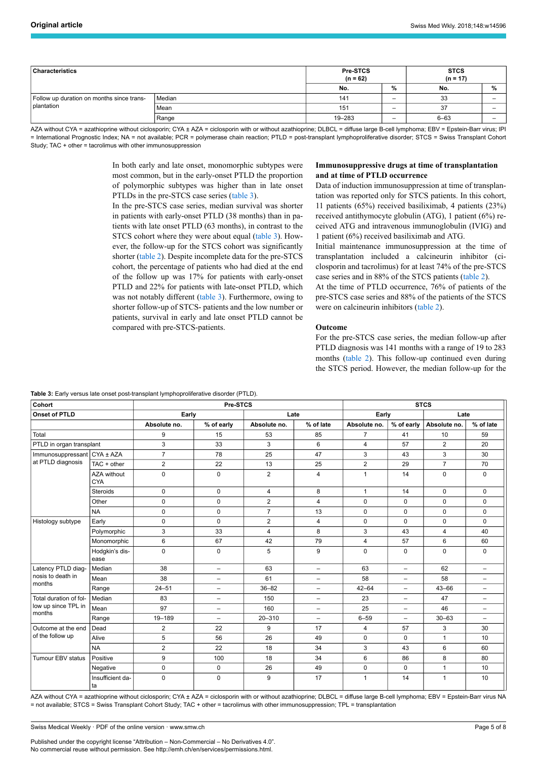| <b>Characteristics</b>                    |        | Pre-STCS<br>$(n = 62)$ |     | <b>STCS</b><br>$(n = 17)$ |   |
|-------------------------------------------|--------|------------------------|-----|---------------------------|---|
|                                           | No.    | %                      | No. | $\%$                      |   |
| Follow up duration on months since trans- | Median | 141                    | -   | 33                        | - |
| plantation                                | Mean   | 151                    | -   | 37                        | - |
|                                           | Range  | 19-283                 | -   | $6 - 63$                  | - |

AZA without CYA = azathioprine without ciclosporin; CYA ± AZA = ciclosporin with or without azathioprine; DLBCL = diffuse large B-cell lymphoma; EBV = Epstein-Barr virus; IPI = International Prognostic Index; NA = not available; PCR = polymerase chain reaction; PTLD = post-transplant lymphoproliferative disorder; STCS = Swiss Transplant Cohort Study; TAC + other = tacrolimus with other immunosuppression

> In both early and late onset, monomorphic subtypes were most common, but in the early-onset PTLD the proportion of polymorphic subtypes was higher than in late onset PTLDs in the pre-STCS case series [\(table 3](#page-4-0)).

> In the pre-STCS case series, median survival was shorter in patients with early-onset PTLD (38 months) than in patients with late onset PTLD (63 months), in contrast to the STCS cohort where they were about equal [\(table](#page-4-0) 3). However, the follow-up for the STCS cohort was significantly shorter ([table](#page-3-0) 2). Despite incomplete data for the pre-STCS cohort, the percentage of patients who had died at the end of the follow up was 17% for patients with early-onset PTLD and 22% for patients with late-onset PTLD, which was not notably different [\(table](#page-4-0) 3). Furthermore, owing to shorter follow-up of STCS- patients and the low number or patients, survival in early and late onset PTLD cannot be compared with pre-STCS-patients.

# **Immunosuppressive drugs at time of transplantation and at time of PTLD occurrence**

Data of induction immunosuppression at time of transplantation was reported only for STCS patients. In this cohort, 11 patients (65%) received basiliximab, 4 patients (23%) received antithymocyte globulin (ATG), 1 patient (6%) received ATG and intravenous immunoglobulin (IVIG) and 1 patient (6%) received basiliximab and ATG.

Initial maintenance immunosuppression at the time of transplantation included a calcineurin inhibitor (ciclosporin and tacrolimus) for at least 74% of the pre-STCS case series and in 88% of the STCS patients ([table 2](#page-3-0)).

At the time of PTLD occurrence, 76% of patients of the pre-STCS case series and 88% of the patients of the STCS were on calcineurin inhibitors ([table 2](#page-3-0)).

#### **Outcome**

For the pre-STCS case series, the median follow-up after PTLD diagnosis was 141 months with a range of 19 to 283 months [\(table](#page-3-0) 2). This follow-up continued even during the STCS period. However, the median follow-up for the

<span id="page-4-0"></span>

| Table 3: Early versus late onset post-transplant lymphoproliferative disorder (PTLD). |
|---------------------------------------------------------------------------------------|
|                                                                                       |

| Cohort                                                  |                           | Pre-STCS       |                          |                |                          | <b>STCS</b>    |                          |                |                          |
|---------------------------------------------------------|---------------------------|----------------|--------------------------|----------------|--------------------------|----------------|--------------------------|----------------|--------------------------|
| <b>Onset of PTLD</b>                                    |                           | Early          |                          | Late           |                          | Early          |                          | Late           |                          |
|                                                         |                           | Absolute no.   | % of early               | Absolute no.   | % of late                | Absolute no.   | $%$ of early $ $         | Absolute no.   | % of late                |
| Total                                                   |                           | 9              | 15                       | 53             | 85                       | $\overline{7}$ | 41                       | 10             | 59                       |
| PTLD in organ transplant                                |                           | 3              | 33                       | 3              | 6                        | $\overline{4}$ | 57                       | 2              | 20                       |
| Immunosuppressant<br>at PTLD diagnosis                  | CYA ± AZA                 | $\overline{7}$ | 78                       | 25             | 47                       | 3              | 43                       | 3              | 30                       |
|                                                         | TAC + other               | $\overline{2}$ | 22                       | 13             | 25                       | $\overline{2}$ | 29                       | $\overline{7}$ | 70                       |
|                                                         | AZA without<br><b>CYA</b> | $\Omega$       | $\Omega$                 | $\overline{2}$ | $\overline{4}$           | $\mathbf{1}$   | 14                       | $\mathbf 0$    | $\mathbf 0$              |
|                                                         | <b>Steroids</b>           | $\Omega$       | $\Omega$                 | $\overline{4}$ | 8                        | $\mathbf{1}$   | 14                       | $\Omega$       | $\Omega$                 |
|                                                         | Other                     | $\mathbf 0$    | $\mathbf 0$              | $\overline{2}$ | $\overline{4}$           | $\mathbf 0$    | 0                        | $\mathbf 0$    | 0                        |
|                                                         | <b>NA</b>                 | $\mathbf 0$    | $\mathbf 0$              | $\overline{7}$ | 13                       | $\Omega$       | 0                        | $\mathbf 0$    | $\Omega$                 |
| Histology subtype                                       | Early                     | $\pmb{0}$      | $\mathbf 0$              | $\overline{2}$ | 4                        | $\mathbf 0$    | 0                        | $\mathbf 0$    | $\mathbf 0$              |
|                                                         | Polymorphic               | 3              | 33                       | 4              | 8                        | 3              | 43                       | 4              | 40                       |
|                                                         | Monomorphic               | 6              | 67                       | 42             | 79                       | 4              | 57                       | 6              | 60                       |
|                                                         | Hodgkin's dis-<br>ease    | $\mathbf 0$    | $\mathbf 0$              | 5              | 9                        | $\mathbf 0$    | 0                        | $\mathbf 0$    | $\mathbf 0$              |
| Latency PTLD diag-<br>nosis to death in<br>months       | Median                    | 38             | $\overline{\phantom{0}}$ | 63             | $\overline{\phantom{0}}$ | 63             | $\overline{\phantom{0}}$ | 62             | $\overline{\phantom{0}}$ |
|                                                         | Mean                      | 38             | $\qquad \qquad -$        | 61             | $\overline{\phantom{0}}$ | 58             | $\overline{\phantom{0}}$ | 58             | $\overline{\phantom{0}}$ |
|                                                         | Range                     | $24 - 51$      | $\overline{\phantom{0}}$ | $36 - 82$      | $\overline{\phantom{0}}$ | $42 - 64$      | -                        | $43 - 66$      | $\overline{\phantom{0}}$ |
| Total duration of fol-<br>low up since TPL in<br>months | Median                    | 83             | $\overline{\phantom{0}}$ | 150            | $\overline{\phantom{0}}$ | 23             | $\overline{\phantom{0}}$ | 47             | $\overline{\phantom{0}}$ |
|                                                         | Mean                      | 97             | $\overline{\phantom{0}}$ | 160            | $\overline{\phantom{0}}$ | 25             | $\overline{\phantom{0}}$ | 46             | $\overline{\phantom{m}}$ |
|                                                         | Range                     | 19-189         | $\overline{\phantom{0}}$ | $20 - 310$     | $\overline{\phantom{0}}$ | $6 - 59$       | $\overline{\phantom{0}}$ | $30 - 63$      | $\overline{\phantom{0}}$ |
| Outcome at the end<br>of the follow up                  | Dead                      | $\overline{2}$ | 22                       | 9              | 17                       | $\overline{4}$ | 57                       | 3              | 30                       |
|                                                         | Alive                     | 5              | 56                       | 26             | 49                       | $\Omega$       | $\Omega$                 | $\mathbf{1}$   | 10                       |
|                                                         | <b>NA</b>                 | $\overline{2}$ | 22                       | 18             | 34                       | 3              | 43                       | 6              | 60                       |
| Tumour EBV status                                       | Positive                  | 9              | 100                      | 18             | 34                       | 6              | 86                       | 8              | 80                       |
|                                                         | Negative                  | $\mathbf 0$    | 0                        | 26             | 49                       | $\mathbf 0$    | 0                        | $\mathbf{1}$   | 10                       |
|                                                         | Insufficient da-<br>ta    | $\mathbf 0$    | $\mathbf 0$              | 9              | 17                       | $\mathbf{1}$   | 14                       | 1              | 10                       |

AZA without CYA = azathioprine without ciclosporin; CYA ± AZA = ciclosporin with or without azathioprine; DLBCL = diffuse large B-cell lymphoma; EBV = Epstein-Barr virus NA = not available; STCS = Swiss Transplant Cohort Study; TAC + other = tacrolimus with other immunosuppression; TPL = transplantation

Published under the copyright license "Attribution – Non-Commercial – No Derivatives 4.0". No commercial reuse without permission. See http://emh.ch/en/services/permissions.html.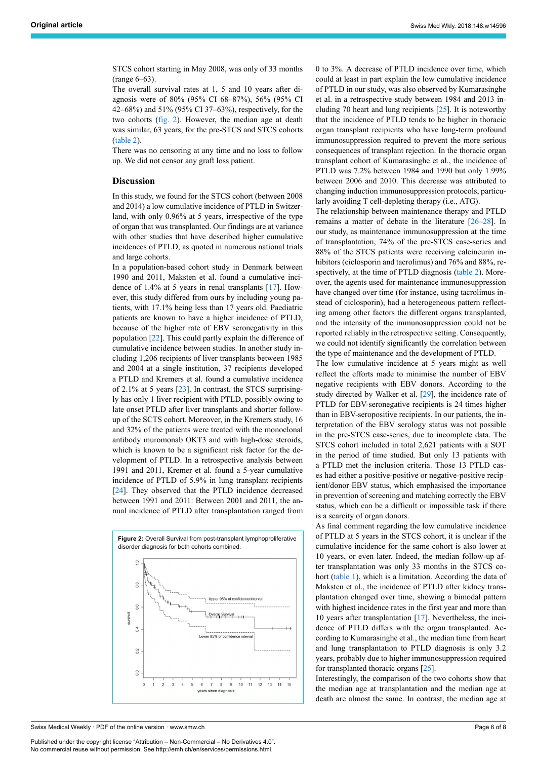STCS cohort starting in May 2008, was only of 33 months (range 6–63).

The overall survival rates at 1, 5 and 10 years after diagnosis were of 80% (95% CI 68–87%), 56% (95% CI 42–68%) and 51% (95% CI 37–63%), respectively, for the two cohorts ([fig.](#page-5-0) 2). However, the median age at death was similar, 63 years, for the pre-STCS and STCS cohorts ([table 2\)](#page-3-0).

There was no censoring at any time and no loss to follow up. We did not censor any graft loss patient.

# **Discussion**

In this study, we found for the STCS cohort (between 2008 and 2014) a low cumulative incidence of PTLD in Switzerland, with only 0.96% at 5 years, irrespective of the type of organ that was transplanted. Our findings are at variance with other studies that have described higher cumulative incidences of PTLD, as quoted in numerous national trials and large cohorts.

In a population-based cohort study in Denmark between 1990 and 2011, Maksten et al. found a cumulative incidence of 1.4% at 5 years in renal transplants [[17\]](#page-6-15). However, this study differed from ours by including young patients, with 17.1% being less than 17 years old. Paediatric patients are known to have a higher incidence of PTLD, because of the higher rate of EBV seronegativity in this population [\[22](#page-6-20)]. This could partly explain the difference of cumulative incidence between studies. In another study including 1,206 recipients of liver transplants between 1985 and 2004 at a single institution, 37 recipients developed a PTLD and Kremers et al. found a cumulative incidence of 2.1% at 5 years [[23\]](#page-7-0). In contrast, the STCS surprisingly has only 1 liver recipient with PTLD, possibly owing to late onset PTLD after liver transplants and shorter followup of the SCTS cohort. Moreover, in the Kremers study, 16 and 32% of the patients were treated with the monoclonal antibody muromonab OKT3 and with high-dose steroids, which is known to be a significant risk factor for the development of PTLD. In a retrospective analysis between 1991 and 2011, Kremer et al. found a 5-year cumulative incidence of PTLD of 5.9% in lung transplant recipients [[24\]](#page-7-1). They observed that the PTLD incidence decreased between 1991 and 2011: Between 2001 and 2011, the annual incidence of PTLD after transplantation ranged from

<span id="page-5-0"></span>

Swiss Medical Weekly · PDF of the online version · www.smw.ch

Published under the copyright license "Attribution – Non-Commercial – No Derivatives 4.0". No commercial reuse without permission. See http://emh.ch/en/services/permissions.html.

0 to 3%. A decrease of PTLD incidence over time, which could at least in part explain the low cumulative incidence of PTLD in our study, was also observed by Kumarasinghe et al. in a retrospective study between 1984 and 2013 including 70 heart and lung recipients [[25\]](#page-7-2). It is noteworthy that the incidence of PTLD tends to be higher in thoracic organ transplant recipients who have long-term profound immunosuppression required to prevent the more serious consequences of transplant rejection. In the thoracic organ transplant cohort of Kumarasinghe et al., the incidence of PTLD was 7.2% between 1984 and 1990 but only 1.99% between 2006 and 2010. This decrease was attributed to changing induction immunosuppression protocols, particularly avoiding T cell-depleting therapy (i.e., ATG).

The relationship between maintenance therapy and PTLD remains a matter of debate in the literature [\[26](#page-7-3)–[28\]](#page-7-0). In our study, as maintenance immunosuppression at the time of transplantation, 74% of the pre-STCS case-series and 88% of the STCS patients were receiving calcineurin inhibitors (ciclosporin and tacrolimus) and 76% and 88%, re-spectively, at the time of PTLD diagnosis [\(table](#page-3-0) 2). Moreover, the agents used for maintenance immunosuppression have changed over time (for instance, using tacrolimus instead of ciclosporin), had a heterogeneous pattern reflecting among other factors the different organs transplanted, and the intensity of the immunosuppression could not be reported reliably in the retrospective setting. Consequently, we could not identify significantly the correlation between the type of maintenance and the development of PTLD.

The low cumulative incidence at 5 years might as well reflect the efforts made to minimise the number of EBV negative recipients with EBV donors. According to the study directed by Walker et al. [[29\]](#page-7-1), the incidence rate of PTLD for EBV-seronegative recipients is 24 times higher than in EBV-seropositive recipients. In our patients, the interpretation of the EBV serology status was not possible in the pre-STCS case-series, due to incomplete data. The STCS cohort included in total 2,621 patients with a SOT in the period of time studied. But only 13 patients with a PTLD met the inclusion criteria. Those 13 PTLD cases had either a positive-positive or negative-positive recipient/donor EBV status, which emphasised the importance in prevention of screening and matching correctly the EBV status, which can be a difficult or impossible task if there is a scarcity of organ donors.

As final comment regarding the low cumulative incidence of PTLD at 5 years in the STCS cohort, it is unclear if the cumulative incidence for the same cohort is also lower at 10 years, or even later. Indeed, the median follow-up after transplantation was only 33 months in the STCS cohort [\(table](#page-2-0) 1), which is a limitation. According the data of Maksten et al., the incidence of PTLD after kidney transplantation changed over time, showing a bimodal pattern with highest incidence rates in the first year and more than 10 years after transplantation [\[17](#page-6-15)]. Nevertheless, the incidence of PTLD differs with the organ transplanted. According to Kumarasinghe et al., the median time from heart and lung transplantation to PTLD diagnosis is only 3.2 years, probably due to higher immunosuppression required for transplanted thoracic organs [\[25](#page-7-2)].

Interestingly, the comparison of the two cohorts show that the median age at transplantation and the median age at death are almost the same. In contrast, the median age at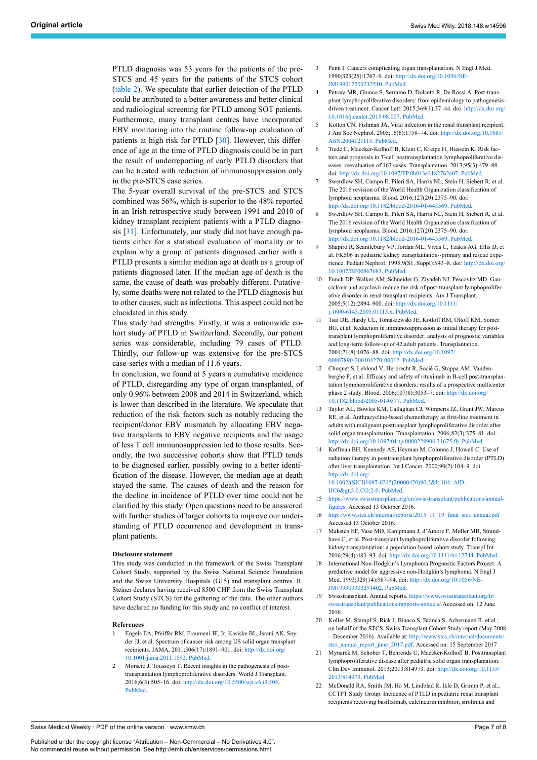<span id="page-6-4"></span><span id="page-6-3"></span><span id="page-6-2"></span>PTLD diagnosis was 53 years for the patients of the pre-STCS and 45 years for the patients of the STCS cohort ([table](#page-3-0) 2). We speculate that earlier detection of the PTLD could be attributed to a better awareness and better clinical and radiological screening for PTLD among SOT patients. Furthermore, many transplant centres have incorporated EBV monitoring into the routine follow-up evaluation of patients at high risk for PTLD [\[30](#page-7-4)]. However, this difference of age at the time of PTLD diagnosis could be in part the result of underreporting of early PTLD disorders that can be treated with reduction of immunosuppression only in the pre-STCS case series.

<span id="page-6-7"></span><span id="page-6-6"></span><span id="page-6-5"></span>The 5-year overall survival of the pre-STCS and STCS combined was 56%, which is superior to the 48% reported in an Irish retrospective study between 1991 and 2010 of kidney transplant recipient patients with a PTLD diagnosis [[31\]](#page-7-5). Unfortunately, our study did not have enough patients either for a statistical evaluation of mortality or to explain why a group of patients diagnosed earlier with a PTLD presents a similar median age at death as a group of patients diagnosed later. If the median age of death is the same, the cause of death was probably different. Putatively, some deaths were not related to the PTLD diagnosis but to other causes, such as infections. This aspect could not be elucidated in this study.

<span id="page-6-9"></span><span id="page-6-8"></span>This study had strengths. Firstly, it was a nationwide cohort study of PTLD in Switzerland. Secondly, our patient series was considerable, including 79 cases of PTLD. Thirdly, our follow-up was extensive for the pre-STCS case-series with a median of 11.6 years.

<span id="page-6-12"></span><span id="page-6-11"></span><span id="page-6-10"></span>In conclusion, we found at 5 years a cumulative incidence of PTLD, disregarding any type of organ transplanted, of only 0.96% between 2008 and 2014 in Switzerland, which is lower than described in the literature. We speculate that reduction of the risk factors such as notably reducing the recipient/donor EBV mismatch by allocating EBV negative transplants to EBV negative recipients and the usage of less T cell immunosuppression led to those results. Secondly, the two successive cohorts show that PTLD tends to be diagnosed earlier, possibly owing to a better identification of the disease. However, the median age at death stayed the same. The causes of death and the reason for the decline in incidence of PTLD over time could not be clarified by this study. Open questions need to be answered with further studies of larger cohorts to improve our understanding of PTLD occurrence and development in transplant patients.

#### <span id="page-6-15"></span><span id="page-6-14"></span><span id="page-6-13"></span>**Disclosure statement**

<span id="page-6-16"></span>This study was conducted in the framework of the Swiss Transplant Cohort Study, supported by the Swiss National Science Foundation and the Swiss University Hospitals (G15) and transplant centres. R. Steiner declares having received 8500 CHF from the Swiss Transplant Cohort Study (STCS) for the gathering of the data. The other authors have declared no funding for this study and no conflict of interest.

#### <span id="page-6-18"></span><span id="page-6-17"></span><span id="page-6-0"></span>**References**

- 1 Engels EA, Pfeiffer RM, Fraumeni JF, Jr, Kasiske BL, Israni AK, Snyder JJ, et al. Spectrum of cancer risk among US solid organ transplant recipients. JAMA. 2011;306(17):1891–901. doi: [http://dx.doi.org/](http://dx.doi.org/10.1001/jama.2011.1592) [10.1001/jama.2011.1592.](http://dx.doi.org/10.1001/jama.2011.1592) [PubMed](http://www.ncbi.nlm.nih.gov/entrez/query.fcgi?cmd=Retrieve&db=PubMed&list_uids=22045767&dopt=Abstract).
- <span id="page-6-20"></span><span id="page-6-19"></span><span id="page-6-1"></span>2 Morscio J, Tousseyn T. Recent insights in the pathogenesis of posttransplantation lymphoproliferative disorders. World J Transplant. 2016;6(3):505–16. doi: <http://dx.doi.org/10.5500/wjt.v6.i3.505>. [PubMed.](http://www.ncbi.nlm.nih.gov/entrez/query.fcgi?cmd=Retrieve&db=PubMed&list_uids=27683629&dopt=Abstract)
- Penn I. Cancers complicating organ transplantation. N Engl J Med. 1990;323(25):1767–9. doi: [http://dx.doi.org/10.1056/NE-](http://dx.doi.org/10.1056/NEJM199012203232510)[JM199012203232510.](http://dx.doi.org/10.1056/NEJM199012203232510) [PubMed.](http://www.ncbi.nlm.nih.gov/entrez/query.fcgi?cmd=Retrieve&db=PubMed&list_uids=2247108&dopt=Abstract)
- 4 Petrara MR, Giunco S, Serraino D, Dolcetti R, De Rossi A. Post-transplant lymphoproliferative disorders: from epidemiology to pathogenesisdriven treatment. Cancer Lett. 2015;369(1):37-44. doi: [http://dx.doi.org/](http://dx.doi.org/10.1016/j.canlet.2015.08.007) [10.1016/j.canlet.2015.08.007](http://dx.doi.org/10.1016/j.canlet.2015.08.007). [PubMed](http://www.ncbi.nlm.nih.gov/entrez/query.fcgi?cmd=Retrieve&db=PubMed&list_uids=26279520&dopt=Abstract).
- Kotton CN, Fishman JA. Viral infection in the renal transplant recipient. J Am Soc Nephrol. 2005;16(6):1758–74. doi: [http://dx.doi.org/10.1681/](http://dx.doi.org/10.1681/ASN.2004121113) [ASN.2004121113.](http://dx.doi.org/10.1681/ASN.2004121113) [PubMed.](http://www.ncbi.nlm.nih.gov/entrez/query.fcgi?cmd=Retrieve&db=PubMed&list_uids=15829710&dopt=Abstract)
- Tiede C, Maecker-Kolhoff B, Klein C, Kreipe H, Hussein K. Risk factors and prognosis in T-cell posttransplantation lymphoproliferative diseases: reevaluation of 163 cases. Transplantation. 2013;95(3):479–88. doi: [http://dx.doi.org/10.1097/TP.0b013e3182762e07.](http://dx.doi.org/10.1097/TP.0b013e3182762e07) [PubMed](http://www.ncbi.nlm.nih.gov/entrez/query.fcgi?cmd=Retrieve&db=PubMed&list_uids=23296147&dopt=Abstract).
- Swerdlow SH, Campo E, Pileri SA, Harris NL, Stein H, Siebert R, et al. The 2016 revision of the World Health Organization classification of lymphoid neoplasms. Blood. 2016;127(20):2375–90. doi: <http://dx.doi.org/10.1182/blood-2016-01-643569>. [PubMed](http://www.ncbi.nlm.nih.gov/entrez/query.fcgi?cmd=Retrieve&db=PubMed&list_uids=26980727&dopt=Abstract).
- 8 Swerdlow SH, Campo E, Pileri SA, Harris NL, Stein H, Siebert R, et al. The 2016 revision of the World Health Organization classification of lymphoid neoplasms. Blood. 2016;127(20):2375–90. doi: <http://dx.doi.org/10.1182/blood-2016-01-643569>. [PubMed](http://www.ncbi.nlm.nih.gov/entrez/query.fcgi?cmd=Retrieve&db=PubMed&list_uids=26980727&dopt=Abstract).
- 9 Shapiro R, Scantlebury VP, Jordan ML, Vivas C, Tzakis AG, Ellis D, et al. FK506 in pediatric kidney transplantation--primary and rescue experience. Pediatr Nephrol. 1995;9(S1, Suppl):S43–8. doi: [http://dx.doi.org/](http://dx.doi.org/10.1007/BF00867683) [10.1007/BF00867683](http://dx.doi.org/10.1007/BF00867683). [PubMed.](http://www.ncbi.nlm.nih.gov/entrez/query.fcgi?cmd=Retrieve&db=PubMed&list_uids=7492486&dopt=Abstract)
- 10 Funch DP, Walker AM, Schneider G, Ziyadeh NJ, Pescovitz MD. Ganciclovir and acyclovir reduce the risk of post-transplant lymphoproliferative disorder in renal transplant recipients. Am J Transplant. 2005;5(12):2894–900. doi: [http://dx.doi.org/10.1111/](http://dx.doi.org/10.1111/j.1600-6143.2005.01115.x) [j.1600-6143.2005.01115.x](http://dx.doi.org/10.1111/j.1600-6143.2005.01115.x). [PubMed.](http://www.ncbi.nlm.nih.gov/entrez/query.fcgi?cmd=Retrieve&db=PubMed&list_uids=16303002&dopt=Abstract)
- 11 Tsai DE, Hardy CL, Tomaszewski JE, Kotloff RM, Oltoff KM, Somer BG, et al. Reduction in immunosuppression as initial therapy for posttransplant lymphoproliferative disorder: analysis of prognostic variables and long-term follow-up of 42 adult patients. Transplantation. 2001;71(8):1076–88. doi: [http://dx.doi.org/10.1097/](http://dx.doi.org/10.1097/00007890-200104270-00012) [00007890-200104270-00012.](http://dx.doi.org/10.1097/00007890-200104270-00012) [PubMed](http://www.ncbi.nlm.nih.gov/entrez/query.fcgi?cmd=Retrieve&db=PubMed&list_uids=11374406&dopt=Abstract).
- 12 Choquet S, Leblond V, Herbrecht R, Socié G, Stoppa AM, Vandenberghe P, et al. Efficacy and safety of rituximab in B-cell post-transplantation lymphoproliferative disorders: results of a prospective multicenter phase 2 study. Blood. 2006;107(8):3053–7. doi: [http://dx.doi.org/](http://dx.doi.org/10.1182/blood-2005-01-0377) [10.1182/blood-2005-01-0377.](http://dx.doi.org/10.1182/blood-2005-01-0377) [PubMed.](http://www.ncbi.nlm.nih.gov/entrez/query.fcgi?cmd=Retrieve&db=PubMed&list_uids=16254143&dopt=Abstract)
- 13 Taylor AL, Bowles KM, Callaghan CJ, Wimperis JZ, Grant JW, Marcus RE, et al. Anthracycline-based chemotherapy as first-line treatment in adults with malignant posttransplant lymphoproliferative disorder after solid organ transplantation. Transplantation. 2006;82(3):375–81. doi: [http://dx.doi.org/10.1097/01.tp.0000228906.31675.fb.](http://dx.doi.org/10.1097/01.tp.0000228906.31675.fb) [PubMed.](http://www.ncbi.nlm.nih.gov/entrez/query.fcgi?cmd=Retrieve&db=PubMed&list_uids=16906036&dopt=Abstract)
- 14 Koffman BH, Kennedy AS, Heyman M, Colonna J, Howell C. Use of radiation therapy in posttransplant lymphoproliferative disorder (PTLD) after liver transplantation. Int J Cancer. 2000;90(2):104–9. doi: [http://dx.doi.org/](http://dx.doi.org/10.1002/(SICI)1097-0215(20000420)90:2<104::AID-IJC6>3.0.CO;2-0) [10.1002/\(SICI\)1097-0215\(20000420\)90:2<104::AID-](http://dx.doi.org/10.1002/(SICI)1097-0215(20000420)90:2<104::AID-IJC6>3.0.CO;2-0)

[IJC6>3.0.CO;2-0.](http://dx.doi.org/10.1002/(SICI)1097-0215(20000420)90:2<104::AID-IJC6>3.0.CO;2-0) [PubMed](http://www.ncbi.nlm.nih.gov/entrez/query.fcgi?cmd=Retrieve&db=PubMed&list_uids=10814960&dopt=Abstract).

- 15 [https://www.swisstransplant.org/en/swisstransplant/publications/annual](https://www.swisstransplant.org/en/swisstransplant/publications/annual-figures)[figures.](https://www.swisstransplant.org/en/swisstransplant/publications/annual-figures) Accessed 13 October 2016.
- 16 [http://www.stcs.ch/internal/reports/2015\\_11\\_19\\_final\\_stcs\\_annual.pdf](http://www.stcs.ch/internal/reports/2015_11_19_final_stcs_annual.pdf) Accessed 13 October 2016.
- 17 Maksten EF, Vase MØ, Kampmann J, d'Amore F, Møller MB, Strandhave C, et al. Post-transplant lymphoproliferative disorder following kidney transplantation: a population-based cohort study. Transpl Int. 2016;29(4):483–93. doi: <http://dx.doi.org/10.1111/tri.12744>. [PubMed](http://www.ncbi.nlm.nih.gov/entrez/query.fcgi?cmd=Retrieve&db=PubMed&list_uids=26749337&dopt=Abstract).
- 18 International Non-Hodgkin's Lymphoma Prognostic Factors Project. A predictive model for aggressive non-Hodgkin's lymphoma. N Engl J Med. 1993;329(14):987–94. doi: [http://dx.doi.org/10.1056/NE-](http://dx.doi.org/10.1056/NEJM199309303291402)[JM199309303291402.](http://dx.doi.org/10.1056/NEJM199309303291402) [PubMed.](http://www.ncbi.nlm.nih.gov/entrez/query.fcgi?cmd=Retrieve&db=PubMed&list_uids=8141877&dopt=Abstract)
- 19 Swisstransplant. Annual reports. [https://www.swisstransplant.org/fr/](https://www.swisstransplant.org/fr/swisstransplant/publications/rapports-annuels/) [swisstransplant/publications/rapports-annuels/](https://www.swisstransplant.org/fr/swisstransplant/publications/rapports-annuels/) Accessed on: 12 June 2016*.*
- 20 Koller M, Stampf S, Rick J, Bianco S, Branca S, Achermann R, et al.; on behalf of the STCS. Swiss Transplant Cohort Study report (May 2008 – December 2016). Available at: http://www.stcs.ch/internal/documents [stcs\\_annual\\_report\\_june\\_2017.pdf.](http://www.stcs.ch/internal/documents/stcs_annual_report_june_2017.pdf) Accessed on: 15 September 2017
- 21 Mynarek M, Schober T, Behrends U, Maecker-Kolhoff B. Posttransplant lymphoproliferative disease after pediatric solid organ transplantation. Clin Dev Immunol. 2013;2013:814973. doi: [http://dx.doi.org/10.1155/](http://dx.doi.org/10.1155/2013/814973) [2013/814973.](http://dx.doi.org/10.1155/2013/814973) [PubMed](http://www.ncbi.nlm.nih.gov/entrez/query.fcgi?cmd=Retrieve&db=PubMed&list_uids=24174972&dopt=Abstract).
- 22 McDonald RA, Smith JM, Ho M, Lindblad R, Ikle D, Grimm P, et al.; CCTPT Study Group. Incidence of PTLD in pediatric renal transplant recipients receiving basiliximab, calcineurin inhibitor, sirolimus and